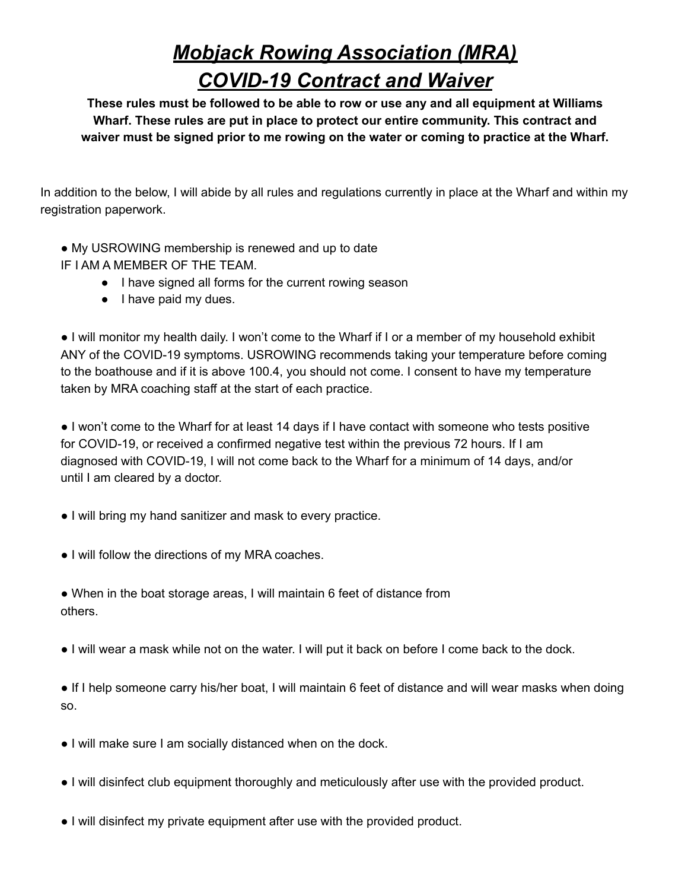## *Mobjack Rowing Association (MRA) COVID-19 Contract and Waiver*

**These rules must be followed to be able to row or use any and all equipment at Williams Wharf. These rules are put in place to protect our entire community. This contract and waiver must be signed prior to me rowing on the water or coming to practice at the Wharf.**

In addition to the below, I will abide by all rules and regulations currently in place at the Wharf and within my registration paperwork.

- My USROWING membership is renewed and up to date
- IF I AM A MEMBER OF THE TEAM.
	- I have signed all forms for the current rowing season
	- I have paid my dues.

● I will monitor my health daily. I won't come to the Wharf if I or a member of my household exhibit ANY of the COVID-19 symptoms. USROWING recommends taking your temperature before coming to the boathouse and if it is above 100.4, you should not come. I consent to have my temperature taken by MRA coaching staff at the start of each practice.

● I won't come to the Wharf for at least 14 days if I have contact with someone who tests positive for COVID-19, or received a confirmed negative test within the previous 72 hours. If I am diagnosed with COVID-19, I will not come back to the Wharf for a minimum of 14 days, and/or until I am cleared by a doctor.

- I will bring my hand sanitizer and mask to every practice.
- I will follow the directions of my MRA coaches.
- When in the boat storage areas, I will maintain 6 feet of distance from others.
- I will wear a mask while not on the water. I will put it back on before I come back to the dock.

● If I help someone carry his/her boat, I will maintain 6 feet of distance and will wear masks when doing so.

- I will make sure I am socially distanced when on the dock.
- I will disinfect club equipment thoroughly and meticulously after use with the provided product.
- I will disinfect my private equipment after use with the provided product.